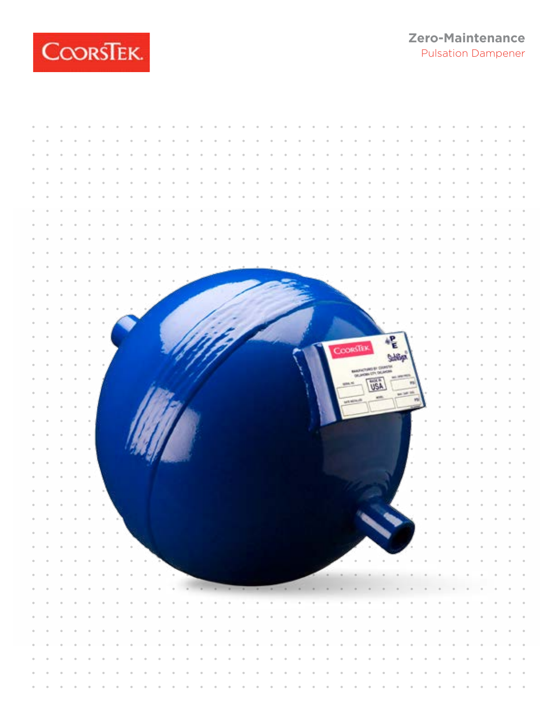